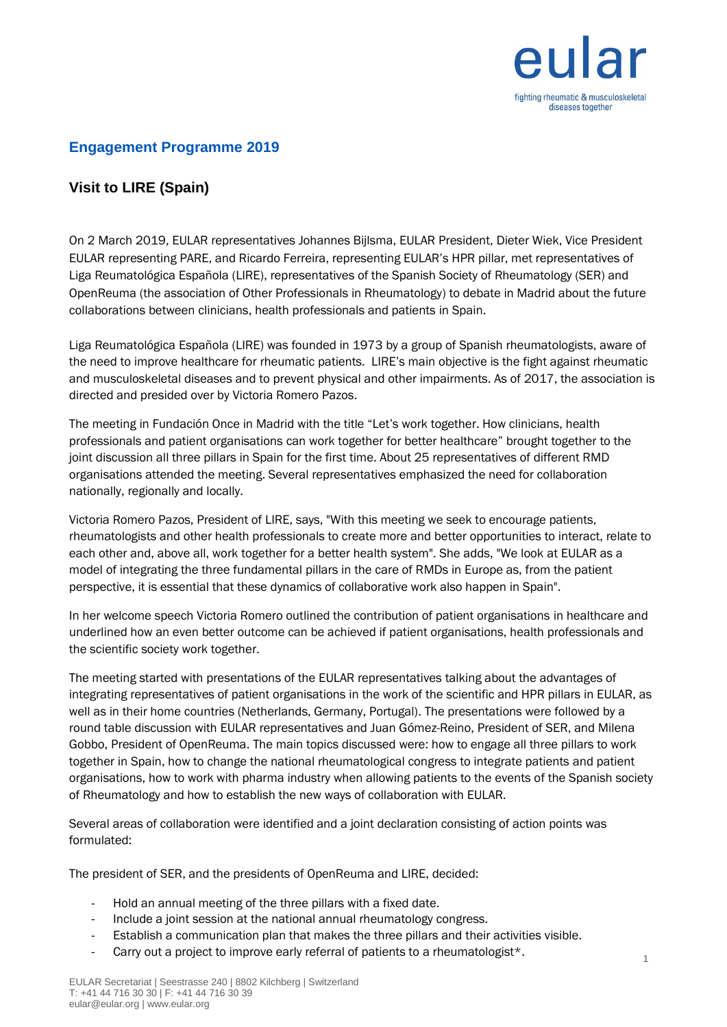

### **Engagement Programme 2019**

## **Visit to LIRE (Spain)**

On 2 March 2019, EULAR representatives Johannes Bijlsma, EULAR President, Dieter Wiek, Vice President EULAR representing PARE, and Ricardo Ferreira, representing EULAR's HPR pillar, met representatives of Liga Reumatológica Española (LIRE), representatives of the Spanish Society of Rheumatology (SER) and OpenReuma (the association of Other Professionals in Rheumatology) to debate in Madrid about the future collaborations between clinicians, health professionals and patients in Spain.

Liga Reumatológica Española (LIRE) was founded in 1973 by a group of Spanish rheumatologists, aware of the need to improve healthcare for rheumatic patients. LIRE's main objective is the fight against rheumatic and musculoskeletal diseases and to prevent physical and other impairments. As of 2017, the association is directed and presided over by Victoria Romero Pazos.

The meeting in Fundación Once in Madrid with the title "Let's work together. How clinicians, health professionals and patient organisations can work together for better healthcare" brought together to the joint discussion all three pillars in Spain for the first time. About 25 representatives of different RMD organisations attended the meeting. Several representatives emphasized the need for collaboration nationally, regionally and locally.

Victoria Romero Pazos, President of LIRE, says, "With this meeting we seek to encourage patients, rheumatologists and other health professionals to create more and better opportunities to interact, relate to each other and, above all, work together for a better health system". She adds, "We look at EULAR as a model of integrating the three fundamental pillars in the care of RMDs in Europe as, from the patient perspective, it is essential that these dynamics of collaborative work also happen in Spain".

In her welcome speech Victoria Romero outlined the contribution of patient organisations in healthcare and underlined how an even better outcome can be achieved if patient organisations, health professionals and the scientific society work together.

The meeting started with presentations of the EULAR representatives talking about the advantages of integrating representatives of patient organisations in the work of the scientific and HPR pillars in EULAR, as well as in their home countries (Netherlands, Germany, Portugal). The presentations were followed by a round table discussion with EULAR representatives and Juan Gómez-Reino, President of SER, and Milena Gobbo, President of OpenReuma. The main topics discussed were: how to engage all three pillars to work together in Spain, how to change the national rheumatological congress to integrate patients and patient organisations, how to work with pharma industry when allowing patients to the events of the Spanish society of Rheumatology and how to establish the new ways of collaboration with EULAR.

Several areas of collaboration were identified and a joint declaration consisting of action points was formulated:

The president of SER, and the presidents of OpenReuma and LIRE, decided:

- Hold an annual meeting of the three pillars with a fixed date.
- Include a joint session at the national annual rheumatology congress.
- Establish a communication plan that makes the three pillars and their activities visible.
- Carry out a project to improve early referral of patients to a rheumatologist\*.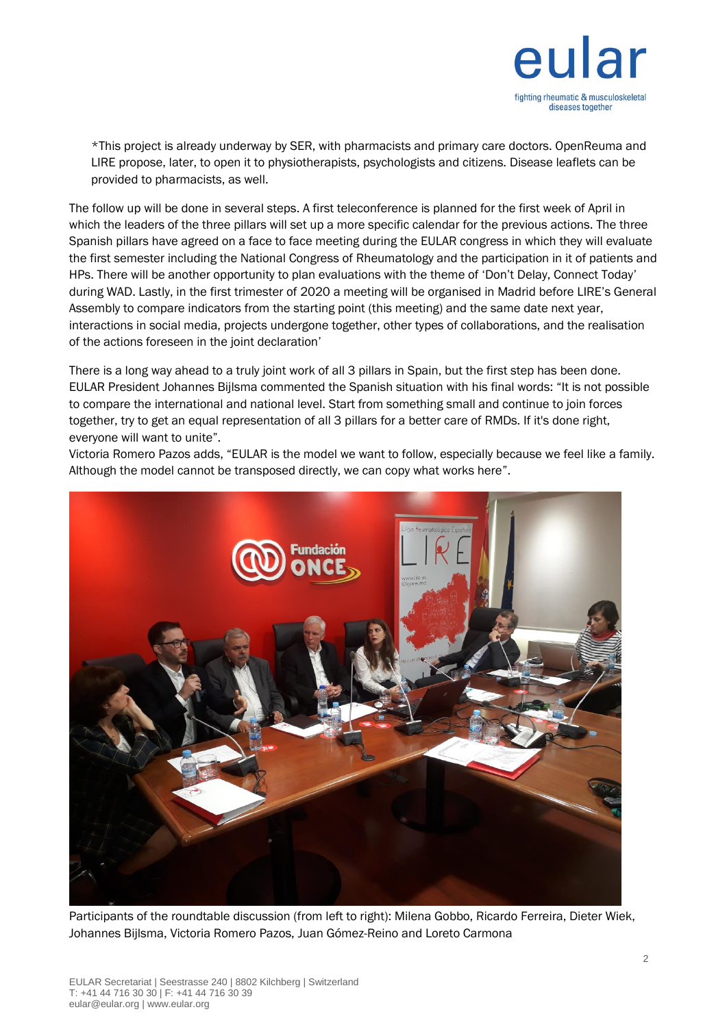

\*This project is already underway by SER, with pharmacists and primary care doctors. OpenReuma and LIRE propose, later, to open it to physiotherapists, psychologists and citizens. Disease leaflets can be provided to pharmacists, as well.

The follow up will be done in several steps. A first teleconference is planned for the first week of April in which the leaders of the three pillars will set up a more specific calendar for the previous actions. The three Spanish pillars have agreed on a face to face meeting during the EULAR congress in which they will evaluate the first semester including the National Congress of Rheumatology and the participation in it of patients and HPs. There will be another opportunity to plan evaluations with the theme of 'Don't Delay, Connect Today' during WAD. Lastly, in the first trimester of 2020 a meeting will be organised in Madrid before LIRE's General Assembly to compare indicators from the starting point (this meeting) and the same date next year, interactions in social media, projects undergone together, other types of collaborations, and the realisation of the actions foreseen in the joint declaration'

There is a long way ahead to a truly joint work of all 3 pillars in Spain, but the first step has been done. EULAR President Johannes Bijlsma commented the Spanish situation with his final words: "It is not possible to compare the international and national level. Start from something small and continue to join forces together, try to get an equal representation of all 3 pillars for a better care of RMDs. If it's done right, everyone will want to unite".

Victoria Romero Pazos adds, "EULAR is the model we want to follow, especially because we feel like a family. Although the model cannot be transposed directly, we can copy what works here".



Participants of the roundtable discussion (from left to right): Milena Gobbo, Ricardo Ferreira, Dieter Wiek, Johannes Bijlsma, Victoria Romero Pazos, Juan Gómez-Reino and Loreto Carmona